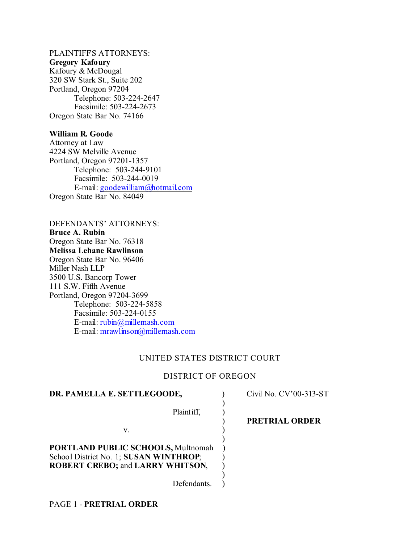# PLAINTIFFS ATTORNEYS:

## **Gregory Kafoury**

Kafoury & McDougal 320 SW Stark St., Suite 202 Portland, Oregon 97204 Telephone: 503-224-2647 Facsimile: 503-224-2673 Oregon State Bar No. 74166

## **William R. Goode**

Attorney at Law 4224 SW Melville Avenue Portland, Oregon 97201-1357 Telephone: 503-244-9101 Facsimile: 503-244-0019 E-mail: goodewilliam@hotmail.com Oregon State Bar No. 84049

DEFENDANTS' ATTORNEYS: **Bruce A. Rubin** Oregon State Bar No. 76318 **Melissa Lehane Rawlinson** Oregon State Bar No. 96406 Miller Nash LLP 3500 U.S. Bancorp Tower 111 S.W. Fifth Avenue Portland, Oregon 97204-3699 Telephone: 503-224-5858 Facsimile: 503-224-0155 E-mail: rubin@millernash.com E-mail: mrawlinson@millernash.com

## UNITED STATES DISTRICT COURT

## DISTRICT OF OREGON

| DR. PAMELLA E. SETTLEGOODE,               | Civil No. CV'00-313-ST |
|-------------------------------------------|------------------------|
| Plaint iff.                               |                        |
|                                           | <b>PRETRIAL ORDER</b>  |
| V.                                        |                        |
| <b>PORTLAND PUBLIC SCHOOLS, Multnomah</b> |                        |
| School District No. 1; SUSAN WINTHROP;    |                        |
| <b>ROBERT CREBO; and LARRY WHITSON,</b>   |                        |
|                                           |                        |
| Defendants                                |                        |

PAGE 1 - **PRETRIAL ORDER**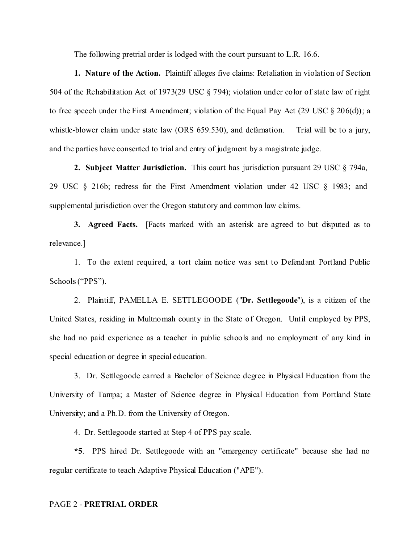The following pretrial order is lodged with the court pursuant to L.R. 16.6.

**1. Nature of the Action.** Plaintiff alleges five claims: Retaliation in violation of Section 504 of the Rehabilitation Act of 1973(29 USC § 794); violation under color of state law of right to free speech under the First Amendment; violation of the Equal Pay Act (29 USC § 206(d)); a whistle-blower claim under state law (ORS 659.530), and defamation. Trial will be to a jury, and the parties have consented to trial and entry of judgment by a magistrate judge.

**2. Subject Matter Jurisdiction.** This court has jurisdiction pursuant 29 USC § 794a, 29 USC § 216b; redress for the First Amendment violation under 42 USC § 1983; and supplemental jurisdiction over the Oregon statutory and common law claims.

**3. Agreed Facts.** [Facts marked with an asterisk are agreed to but disputed as to relevance.]

1. To the extent required, a tort claim notice was sent to Defendant Portland Public Schools ("PPS").

2. Plaintiff, PAMELLA E. SETTLEGOODE ("**Dr. Settlegoode**"), is a citizen of the United States, residing in Multnomah county in the State of Oregon. Until employed by PPS, she had no paid experience as a teacher in public schools and no employment of any kind in special education or degree in special education.

3. Dr. Settlegoode earned a Bachelor of Science degree in Physical Education from the University of Tampa; a Master of Science degree in Physical Education from Portland State University; and a Ph.D. from the University of Oregon.

4. Dr. Settlegoode started at Step 4 of PPS pay scale.

**\*5**. PPS hired Dr. Settlegoode with an "emergency certificate" because she had no regular certificate to teach Adaptive Physical Education ("APE").

#### PAGE 2 - **PRETRIAL ORDER**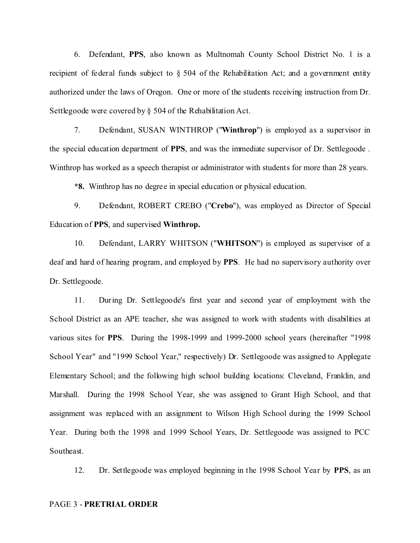6. Defendant, **PPS**, also known as Multnomah County School District No. 1 is a recipient of federal funds subject to § 504 of the Rehabilitation Act; and a government entity authorized under the laws of Oregon. One or more of the students receiving instruction from Dr. Settlegoode were covered by § 504 of the Rehabilitation Act.

7. Defendant, SUSAN WINTHROP ("**Winthrop**") is employed as a supervisor in the special education department of **PPS**, and was the immediate supervisor of Dr. Settlegoode . Winthrop has worked as a speech therapist or administrator with students for more than 28 years.

**\*8.** Winthrop has no degree in special education or physical education.

9. Defendant, ROBERT CREBO ("**Crebo**"), was employed as Director of Special Education of **PPS**, and supervised **Winthrop.**

10. Defendant, LARRY WHITSON ("**WHITSON**") is employed as supervisor of a deaf and hard of hearing program, and employed by **PPS**. He had no supervisory authority over Dr. Settlegoode.

11. During Dr. Settlegoode's first year and second year of employment with the School District as an APE teacher, she was assigned to work with students with disabilities at various sites for **PPS**. During the 1998-1999 and 1999-2000 school years (hereinafter "1998 School Year" and "1999 School Year," respectively) Dr. Settlegoode was assigned to Applegate Elementary School; and the following high school building locations: Cleveland, Franklin, and Marshall. During the 1998 School Year, she was assigned to Grant High School, and that assignment was replaced with an assignment to Wilson High School during the 1999 School Year. During both the 1998 and 1999 School Years, Dr. Settlegoode was assigned to PCC Southeast.

12. Dr. Settlegoode was employed beginning in the 1998 School Year by **PPS**, as an

#### PAGE 3 - **PRETRIAL ORDER**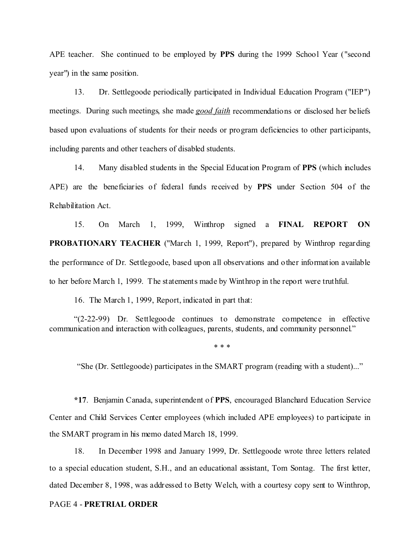APE teacher. She continued to be employed by **PPS** during the 1999 School Year ("second year") in the same position.

13. Dr. Settlegoode periodically participated in Individual Education Program ("IEP") meetings. During such meetings, she made *good faith* recommendations or disclosed her beliefs based upon evaluations of students for their needs or program deficiencies to other participants, including parents and other teachers of disabled students.

14. Many disabled students in the Special Education Program of **PPS** (which includes APE) are the beneficiaries of federal funds received by **PPS** under Section 504 of the Rehabilitation Act.

15. On March 1, 1999, Winthrop signed a **FINAL REPORT ON PROBATIONARY TEACHER** ("March 1, 1999, Report"), prepared by Winthrop regarding the performance of Dr. Settlegoode, based upon all observations and other information available to her before March 1, 1999. The statements made by Winthrop in the report were truthful.

16. The March 1, 1999, Report, indicated in part that:

"(2-22-99) Dr. Settlegoode continues to demonstrate competence in effective communication and interaction with colleagues, parents, students, and community personnel."

\* \* \*

"She (Dr. Settlegoode) participates in the SMART program (reading with a student)..."

**\*17**. Benjamin Canada, superintendent of **PPS**, encouraged Blanchard Education Service Center and Child Services Center employees (which included APE employees) to participate in the SMART program in his memo dated March 18, 1999.

18. In December 1998 and January 1999, Dr. Settlegoode wrote three letters related to a special education student, S.H., and an educational assistant, Tom Sontag. The first letter, dated December 8, 1998, was addressed to Betty Welch, with a courtesy copy sent to Winthrop,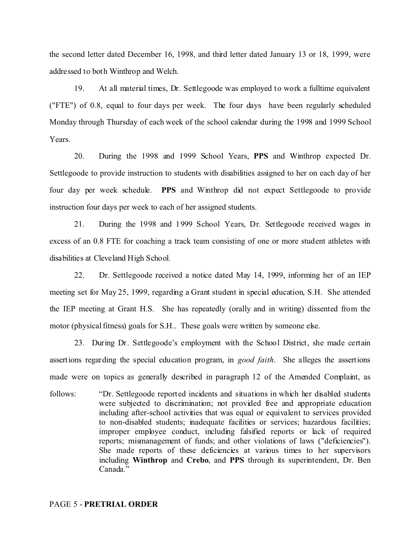the second letter dated December 16, 1998, and third letter dated January 13 or 18, 1999, were addressed to both Winthrop and Welch.

19. At all material times, Dr. Settlegoode was employed to work a fulltime equivalent ("FTE") of 0.8, equal to four days per week. The four days have been regularly scheduled Monday through Thursday of each week of the school calendar during the 1998 and 1999 School Years.

20. During the 1998 and 1999 School Years, **PPS** and Winthrop expected Dr. Settlegoode to provide instruction to students with disabilities assigned to her on each day of her four day per week schedule. **PPS** and Winthrop did not expect Settlegoode to provide instruction four days per week to each of her assigned students.

21. During the 1998 and 1999 School Years, Dr. Settlegoode received wages in excess of an 0.8 FTE for coaching a track team consisting of one or more student athletes with disabilities at Cleveland High School.

22. Dr. Settlegoode received a notice dated May 14, 1999, informing her of an IEP meeting set for May 25, 1999, regarding a Grant student in special education, S.H. She attended the IEP meeting at Grant H.S. She has repeatedly (orally and in writing) dissented from the motor (physical fitness) goals for S.H.. These goals were written by someone else.

23. During Dr. Settlegoode's employment with the School District, she made certain assertions regarding the special education program, in *good faith*. She alleges the assertions made were on topics as generally described in paragraph 12 of the Amended Complaint, as

follows: "Dr. Settlegoode reported incidents and situations in which her disabled students were subjected to discrimination; not provided free and appropriate education including after-school activities that was equal or equivalent to services provided to non-disabled students; inadequate facilities or services; hazardous facilities; improper employee conduct, including falsified reports or lack of required reports; mismanagement of funds; and other violations of laws ("deficiencies"). She made reports of these deficiencies at various times to her supervisors including **Winthrop** and **Crebo**, and **PPS** through its superintendent, Dr. Ben Canada."

#### PAGE 5 - **PRETRIAL ORDER**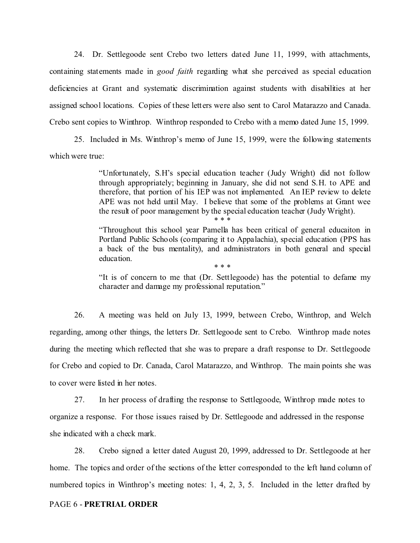24. Dr. Settlegoode sent Crebo two letters dated June 11, 1999, with attachments, containing statements made in *good faith* regarding what she perceived as special education deficiencies at Grant and systematic discrimination against students with disabilities at her assigned school locations. Copies of these letters were also sent to Carol Matarazzo and Canada. Crebo sent copies to Winthrop. Winthrop responded to Crebo with a memo dated June 15, 1999.

25. Included in Ms. Winthrop's memo of June 15, 1999, were the following statements which were true:

> "Unfortunately, S.H's special education teacher (Judy Wright) did not follow through appropriately; beginning in January, she did not send S.H. to APE and therefore, that portion of his IEP was not implemented. An IEP review to delete APE was not held until May. I believe that some of the problems at Grant wee the result of poor management by the special education teacher (Judy Wright). \* \* \*

> "Throughout this school year Pamella has been critical of general educaiton in Portland Public Schools (comparing it to Appalachia), special education (PPS has a back of the bus mentality), and administrators in both general and special education. \* \* \*

> "It is of concern to me that (Dr. Settlegoode) has the potential to defame my character and damage my professional reputation."

26. A meeting was held on July 13, 1999, between Crebo, Winthrop, and Welch regarding, among other things, the letters Dr. Settlegoode sent to Crebo. Winthrop made notes during the meeting which reflected that she was to prepare a draft response to Dr. Settlegoode for Crebo and copied to Dr. Canada, Carol Matarazzo, and Winthrop. The main points she was to cover were listed in her notes.

27. In her process of drafting the response to Settlegoode, Winthrop made notes to organize a response. For those issues raised by Dr. Settlegoode and addressed in the response she indicated with a check mark.

28. Crebo signed a letter dated August 20, 1999, addressed to Dr. Settlegoode at her home. The topics and order of the sections of the letter corresponded to the left hand column of numbered topics in Winthrop's meeting notes: 1, 4, 2, 3, 5. Included in the letter drafted by

#### PAGE 6 - **PRETRIAL ORDER**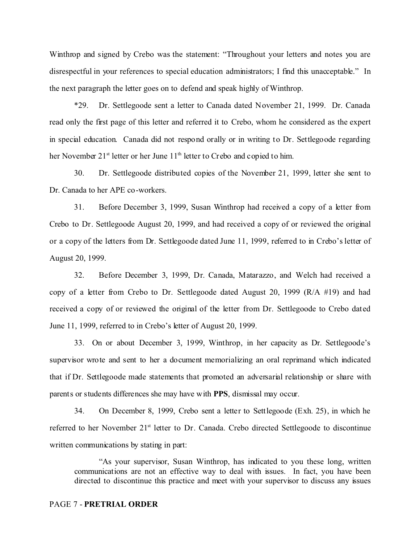Winthrop and signed by Crebo was the statement: "Throughout your letters and notes you are disrespectful in your references to special education administrators; I find this unacceptable." In the next paragraph the letter goes on to defend and speak highly of Winthrop.

\*29. Dr. Settlegoode sent a letter to Canada dated November 21, 1999. Dr. Canada read only the first page of this letter and referred it to Crebo, whom he considered as the expert in special education. Canada did not respond orally or in writing to Dr. Settlegoode regarding her November 21<sup>st</sup> letter or her June 11<sup>th</sup> letter to Crebo and copied to him.

30. Dr. Settlegoode distributed copies of the November 21, 1999, letter she sent to Dr. Canada to her APE co-workers.

31. Before December 3, 1999, Susan Winthrop had received a copy of a letter from Crebo to Dr. Settlegoode August 20, 1999, and had received a copy of or reviewed the original or a copy of the letters from Dr. Settlegoode dated June 11, 1999, referred to in Crebo's letter of August 20, 1999.

32. Before December 3, 1999, Dr. Canada, Matarazzo, and Welch had received a copy of a letter from Crebo to Dr. Settlegoode dated August 20, 1999 (R/A #19) and had received a copy of or reviewed the original of the letter from Dr. Settlegoode to Crebo dated June 11, 1999, referred to in Crebo's letter of August 20, 1999.

33. On or about December 3, 1999, Winthrop, in her capacity as Dr. Settlegoode's supervisor wrote and sent to her a document memorializing an oral reprimand which indicated that if Dr. Settlegoode made statements that promoted an adversarial relationship or share with parents or students differences she may have with **PPS**, dismissal may occur.

34. On December 8, 1999, Crebo sent a letter to Settlegoode (Exh. 25), in which he referred to her November 21<sup>st</sup> letter to Dr. Canada. Crebo directed Settlegoode to discontinue written communications by stating in part:

"As your supervisor, Susan Winthrop, has indicated to you these long, written communications are not an effective way to deal with issues. In fact, you have been directed to discontinue this practice and meet with your supervisor to discuss any issues

#### PAGE 7 - **PRETRIAL ORDER**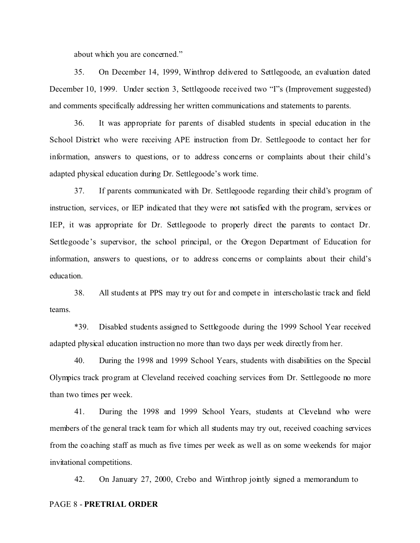about which you are concerned."

35. On December 14, 1999, Winthrop delivered to Settlegoode, an evaluation dated December 10, 1999. Under section 3, Settlegoode received two "I"s (Improvement suggested) and comments specifically addressing her written communications and statements to parents.

36. It was appropriate for parents of disabled students in special education in the School District who were receiving APE instruction from Dr. Settlegoode to contact her for information, answers to questions, or to address concerns or complaints about their child's adapted physical education during Dr. Settlegoode's work time.

37. If parents communicated with Dr. Settlegoode regarding their child's program of instruction, services, or IEP indicated that they were not satisfied with the program, services or IEP, it was appropriate for Dr. Settlegoode to properly direct the parents to contact Dr. Settlegoode's supervisor, the school principal, or the Oregon Department of Education for information, answers to questions, or to address concerns or complaints about their child's education.

38. All students at PPS may try out for and compete in interscholastic track and field teams.

\*39. Disabled students assigned to Settlegoode during the 1999 School Year received adapted physical education instruction no more than two days per week directly from her.

40. During the 1998 and 1999 School Years, students with disabilities on the Special Olympics track program at Cleveland received coaching services from Dr. Settlegoode no more than two times per week.

41. During the 1998 and 1999 School Years, students at Cleveland who were members of the general track team for which all students may try out, received coaching services from the coaching staff as much as five times per week as well as on some weekends for major invitational competitions.

42. On January 27, 2000, Crebo and Winthrop jointly signed a memorandum to

#### PAGE 8 - **PRETRIAL ORDER**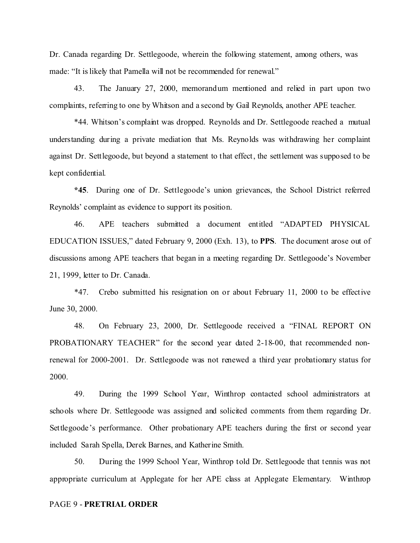Dr. Canada regarding Dr. Settlegoode, wherein the following statement, among others, was made: "It is likely that Pamella will not be recommended for renewal."

43. The January 27, 2000, memorandum mentioned and relied in part upon two complaints, referring to one by Whitson and a second by Gail Reynolds, another APE teacher.

\*44. Whitson's complaint was dropped. Reynolds and Dr. Settlegoode reached a mutual understanding during a private mediation that Ms. Reynolds was withdrawing her complaint against Dr. Settlegoode, but beyond a statement to that effect, the settlement was supposed to be kept confidential.

**\*45**. During one of Dr. Settlegoode's union grievances, the School District referred Reynolds' complaint as evidence to support its position.

46. APE teachers submitted a document entitled "ADAPTED PHYSICAL EDUCATION ISSUES," dated February 9, 2000 (Exh. 13), to **PPS**. The document arose out of discussions among APE teachers that began in a meeting regarding Dr. Settlegoode's November 21, 1999, letter to Dr. Canada.

\*47. Crebo submitted his resignation on or about February 11, 2000 to be effective June 30, 2000.

48. On February 23, 2000, Dr. Settlegoode received a "FINAL REPORT ON PROBATIONARY TEACHER" for the second year dated 2-18-00, that recommended nonrenewal for 2000-2001. Dr. Settlegoode was not renewed a third year probationary status for 2000.

49. During the 1999 School Year, Winthrop contacted school administrators at schools where Dr. Settlegoode was assigned and solicited comments from them regarding Dr. Settlegoode's performance. Other probationary APE teachers during the first or second year included Sarah Spella, Derek Barnes, and Katherine Smith.

50. During the 1999 School Year, Winthrop told Dr. Settlegoode that tennis was not appropriate curriculum at Applegate for her APE class at Applegate Elementary. Winthrop

#### PAGE 9 - **PRETRIAL ORDER**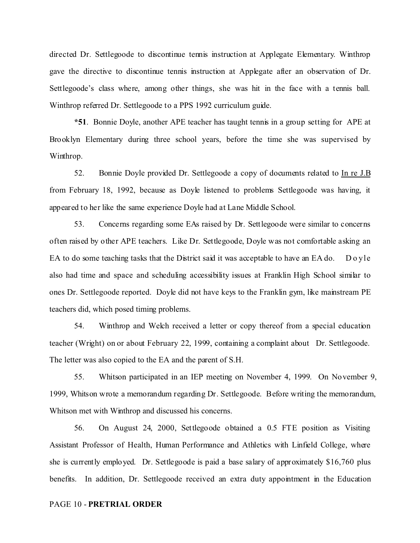directed Dr. Settlegoode to discontinue tennis instruction at Applegate Elementary. Winthrop gave the directive to discontinue tennis instruction at Applegate after an observation of Dr. Settlegoode's class where, among other things, she was hit in the face with a tennis ball. Winthrop referred Dr. Settlegoode to a PPS 1992 curriculum guide.

**\*51**. Bonnie Doyle, another APE teacher has taught tennis in a group setting for APE at Brooklyn Elementary during three school years, before the time she was supervised by Winthrop.

52. Bonnie Doyle provided Dr. Settlegoode a copy of documents related to In re J.B from February 18, 1992, because as Doyle listened to problems Settlegoode was having, it appeared to her like the same experience Doyle had at Lane Middle School.

53. Concerns regarding some EAs raised by Dr. Settlegoode were similar to concerns often raised by other APE teachers. Like Dr. Settlegoode, Doyle was not comfortable asking an EA to do some teaching tasks that the District said it was acceptable to have an EA do. Do yle also had time and space and scheduling accessibility issues at Franklin High School similar to ones Dr. Settlegoode reported. Doyle did not have keys to the Franklin gym, like mainstream PE teachers did, which posed timing problems.

54. Winthrop and Welch received a letter or copy thereof from a special education teacher (Wright) on or about February 22, 1999, containing a complaint about Dr. Settlegoode. The letter was also copied to the EA and the parent of S.H.

55. Whitson participated in an IEP meeting on November 4, 1999. On November 9, 1999, Whitson wrote a memorandum regarding Dr. Settlegoode. Before writing the memorandum, Whitson met with Winthrop and discussed his concerns.

56. On August 24, 2000, Settlegoode obtained a 0.5 FTE position as Visiting Assistant Professor of Health, Human Performance and Athletics with Linfield College, where she is currently employed. Dr. Settlegoode is paid a base salary of approximately \$16,760 plus benefits. In addition, Dr. Settlegoode received an extra duty appointment in the Education

#### PAGE 10 - **PRETRIAL ORDER**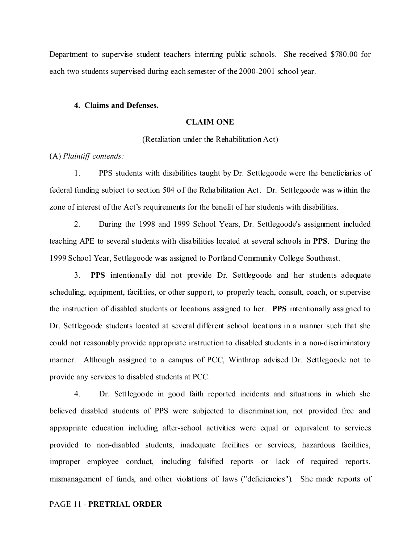Department to supervise student teachers interning public schools. She received \$780.00 for each two students supervised during each semester of the 2000-2001 school year.

#### **4. Claims and Defenses.**

### **CLAIM ONE**

(Retaliation under the Rehabilitation Act)

(A) *Plaintiff contends:*

1. PPS students with disabilities taught by Dr. Settlegoode were the beneficiaries of federal funding subject to section 504 of the Rehabilitation Act. Dr. Settlegoode was within the zone of interest of the Act's requirements for the benefit of her students with disabilities.

2. During the 1998 and 1999 School Years, Dr. Settlegoode's assignment included teaching APE to several students with disabilities located at several schools in **PPS**. During the 1999 School Year, Settlegoode was assigned to Portland Community College Southeast.

3. **PPS** intentionally did not provide Dr. Settlegoode and her students adequate scheduling, equipment, facilities, or other support, to properly teach, consult, coach, or supervise the instruction of disabled students or locations assigned to her. **PPS** intentionally assigned to Dr. Settlegoode students located at several different school locations in a manner such that she could not reasonably provide appropriate instruction to disabled students in a non-discriminatory manner. Although assigned to a campus of PCC, Winthrop advised Dr. Settlegoode not to provide any services to disabled students at PCC.

4. Dr. Settlegoode in good faith reported incidents and situations in which she believed disabled students of PPS were subjected to discrimination, not provided free and appropriate education including after-school activities were equal or equivalent to services provided to non-disabled students, inadequate facilities or services, hazardous facilities, improper employee conduct, including falsified reports or lack of required reports, mismanagement of funds, and other violations of laws ("deficiencies"). She made reports of

#### PAGE 11 - **PRETRIAL ORDER**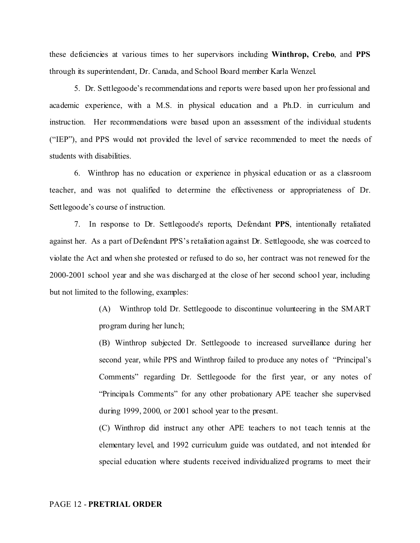these deficiencies at various times to her supervisors including **Winthrop, Crebo**, and **PPS** through its superintendent, Dr. Canada, and School Board member Karla Wenzel.

5. Dr. Settlegoode's recommendations and reports were based upon her professional and academic experience, with a M.S. in physical education and a Ph.D. in curriculum and instruction. Her recommendations were based upon an assessment of the individual students ("IEP"), and PPS would not provided the level of service recommended to meet the needs of students with disabilities.

6. Winthrop has no education or experience in physical education or as a classroom teacher, and was not qualified to determine the effectiveness or appropriateness of Dr. Settlegoode's course of instruction.

7. In response to Dr. Settlegoode's reports, Defendant **PPS**, intentionally retaliated against her. As a part of Defendant PPS's retaliation against Dr. Settlegoode, she was coerced to violate the Act and when she protested or refused to do so, her contract was not renewed for the 2000-2001 school year and she was discharged at the close of her second school year, including but not limited to the following, examples:

> (A) Winthrop told Dr. Settlegoode to discontinue volunteering in the SMART program during her lunch;

> (B) Winthrop subjected Dr. Settlegoode to increased surveillance during her second year, while PPS and Winthrop failed to produce any notes of "Principal's Comments" regarding Dr. Settlegoode for the first year, or any notes of "Principals Comments" for any other probationary APE teacher she supervised during 1999, 2000, or 2001 school year to the present.

> (C) Winthrop did instruct any other APE teachers to not teach tennis at the elementary level, and 1992 curriculum guide was outdated, and not intended for special education where students received individualized programs to meet their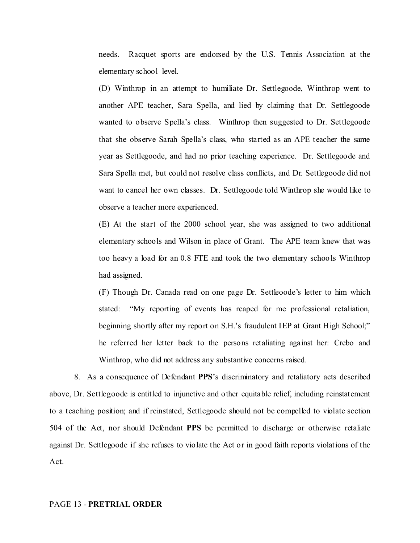needs. Racquet sports are endorsed by the U.S. Tennis Association at the elementary school level.

(D) Winthrop in an attempt to humiliate Dr. Settlegoode, Winthrop went to another APE teacher, Sara Spella, and lied by claiming that Dr. Settlegoode wanted to observe Spella's class. Winthrop then suggested to Dr. Settlegoode that she observe Sarah Spella's class, who started as an APE teacher the same year as Settlegoode, and had no prior teaching experience. Dr. Settlegoode and Sara Spella met, but could not resolve class conflicts, and Dr. Settlegoode did not want to cancel her own classes. Dr. Settlegoode told Winthrop she would like to observe a teacher more experienced.

(E) At the start of the 2000 school year, she was assigned to two additional elementary schools and Wilson in place of Grant. The APE team knew that was too heavy a load for an 0.8 FTE and took the two elementary schools Winthrop had assigned.

(F) Though Dr. Canada read on one page Dr. Settleoode's letter to him which stated: "My reporting of events has reaped for me professional retaliation, beginning shortly after my report on S.H.'s fraudulent IEP at Grant High School;" he referred her letter back to the persons retaliating against her: Crebo and Winthrop, who did not address any substantive concerns raised.

8. As a consequence of Defendant **PPS**'s discriminatory and retaliatory acts described above, Dr. Settlegoode is entitled to injunctive and other equitable relief, including reinstatement to a teaching position; and if reinstated, Settlegoode should not be compelled to violate section 504 of the Act, nor should Defendant **PPS** be permitted to discharge or otherwise retaliate against Dr. Settlegoode if she refuses to violate the Act or in good faith reports violations of the Act.

#### PAGE 13 - **PRETRIAL ORDER**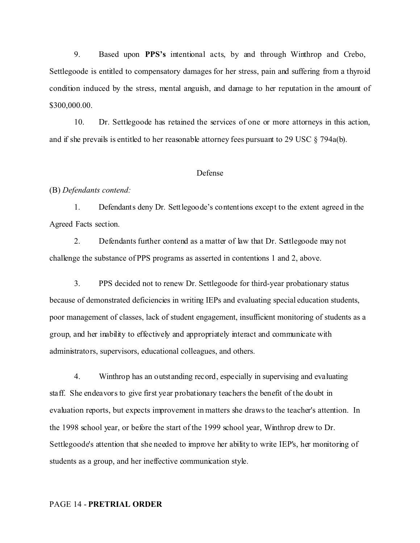9. Based upon **PPS's** intentional acts, by and through Winthrop and Crebo, Settlegoode is entitled to compensatory damages for her stress, pain and suffering from a thyroid condition induced by the stress, mental anguish, and damage to her reputation in the amount of \$300,000.00.

10. Dr. Settlegoode has retained the services of one or more attorneys in this action, and if she prevails is entitled to her reasonable attorney fees pursuant to 29 USC  $\S$  794a(b).

#### Defense

#### (B) *Defendants contend:*

1. Defendants deny Dr. Settlegoode's contentions except to the extent agreed in the Agreed Facts section.

2. Defendants further contend as a matter of law that Dr. Settlegoode may not challenge the substance of PPS programs as asserted in contentions 1 and 2, above.

3. PPS decided not to renew Dr. Settlegoode for third-year probationary status because of demonstrated deficiencies in writing IEPs and evaluating special education students, poor management of classes, lack of student engagement, insufficient monitoring of students as a group, and her inability to effectively and appropriately interact and communicate with administrators, supervisors, educational colleagues, and others.

4. Winthrop has an outstanding record, especially in supervising and evaluating staff. She endeavors to give first year probationary teachers the benefit of the doubt in evaluation reports, but expects improvement in matters she draws to the teacher's attention. In the 1998 school year, or before the start of the 1999 school year, Winthrop drew to Dr. Settlegoode's attention that she needed to improve her ability to write IEP's, her monitoring of students as a group, and her ineffective communication style.

#### PAGE 14 - **PRETRIAL ORDER**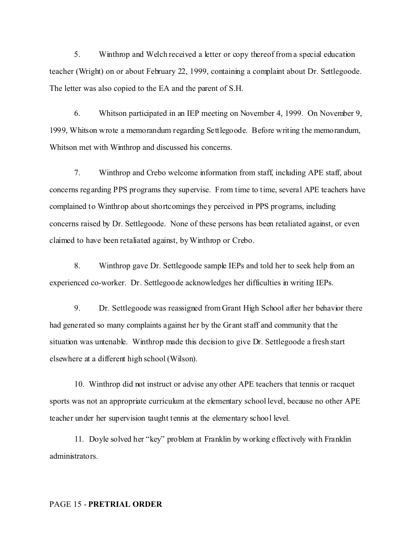5. Winthrop and Welch received a letter or copy thereof from a special education teacher (Wright) on or about February 22, 1999, containing a complaint about Dr. Settlegoode. The letter was also copied to the EA and the parent of S.H.

6. Whitson participated in an IEP meeting on November 4, 1999. On November 9, 1999, Whitson wrote a memorandum regarding Settlegoode. Before writing the memorandum, Whitson met with Winthrop and discussed his concerns.

7. Winthrop and Crebo welcome information from staff, including APE staff, about concerns regarding PPS programs they supervise. From time to time, several APE teachers have complained to Winthrop about shortcomings they perceived in PPS programs, including concerns raised by Dr. Settlegoode. None of these persons has been retaliated against, or even claimed to have been retaliated against, by Winthrop or Crebo.

8. Winthrop gave Dr. Settlegoode sample IEPs and told her to seek help from an experienced co-worker. Dr. Settlegoode acknowledges her difficulties in writing IEPs.

9. Dr. Settlegoode was reassigned from Grant High School after her behavior there had generated so many complaints against her by the Grant staff and community that the situation was untenable. Winthrop made this decision to give Dr. Settlegoode a fresh start elsewhere at a different high school (Wilson).

10. Winthrop did not instruct or advise any other APE teachers that tennis or racquet sports was not an appropriate curriculum at the elementary school level, because no other APE teacher under her supervision taught tennis at the elementary school level.

11. Doyle solved her "key" problem at Franklin by working effectively with Franklin administrators.

#### PAGE 15 - **PRETRIAL ORDER**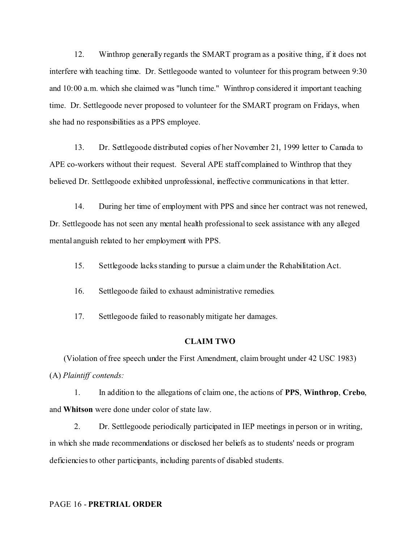12. Winthrop generally regards the SMART program as a positive thing, if it does not interfere with teaching time. Dr. Settlegoode wanted to volunteer for this program between 9:30 and 10:00 a.m. which she claimed was "lunch time." Winthrop considered it important teaching time. Dr. Settlegoode never proposed to volunteer for the SMART program on Fridays, when she had no responsibilities as a PPS employee.

13. Dr. Settlegoode distributed copies of her November 21, 1999 letter to Canada to APE co-workers without their request. Several APE staff complained to Winthrop that they believed Dr. Settlegoode exhibited unprofessional, ineffective communications in that letter.

14. During her time of employment with PPS and since her contract was not renewed, Dr. Settlegoode has not seen any mental health professional to seek assistance with any alleged mental anguish related to her employment with PPS.

15. Settlegoode lacks standing to pursue a claim under the Rehabilitation Act.

16. Settlegoode failed to exhaust administrative remedies.

17. Settlegoode failed to reasonably mitigate her damages.

### **CLAIM TWO**

(Violation of free speech under the First Amendment, claim brought under 42 USC 1983) (A) *Plaintiff contends:*

1. In addition to the allegations of claim one, the actions of **PPS**, **Winthrop**, **Crebo**, and **Whitson** were done under color of state law.

2. Dr. Settlegoode periodically participated in IEP meetings in person or in writing, in which she made recommendations or disclosed her beliefs as to students' needs or program deficiencies to other participants, including parents of disabled students.

PAGE 16 - **PRETRIAL ORDER**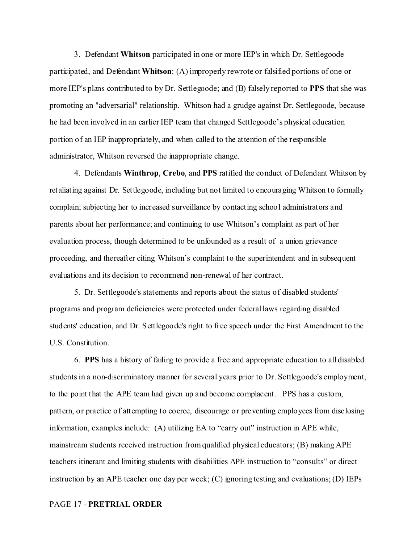3. Defendant **Whitson** participated in one or more IEP's in which Dr. Settlegoode participated, and Defendant **Whitson**: (A) improperly rewrote or falsified portions of one or more IEP's plans contributed to by Dr. Settlegoode; and (B) falsely reported to **PPS** that she was promoting an "adversarial" relationship. Whitson had a grudge against Dr. Settlegoode, because he had been involved in an earlier IEP team that changed Settlegoode's physical education portion of an IEP inappropriately, and when called to the attention of the responsible administrator, Whitson reversed the inappropriate change.

4. Defendants **Winthrop**, **Crebo**, and **PPS** ratified the conduct of Defendant Whitson by retaliating against Dr. Settlegoode, including but not limited to encouraging Whitson to formally complain; subjecting her to increased surveillance by contacting school administrators and parents about her performance; and continuing to use Whitson's complaint as part of her evaluation process, though determined to be unfounded as a result of a union grievance proceeding, and thereafter citing Whitson's complaint to the superintendent and in subsequent evaluations and its decision to recommend non-renewal of her contract.

5. Dr. Settlegoode's statements and reports about the status of disabled students' programs and program deficiencies were protected under federal laws regarding disabled students' education, and Dr. Settlegoode's right to free speech under the First Amendment to the U.S. Constitution.

6. **PPS** has a history of failing to provide a free and appropriate education to all disabled students in a non-discriminatory manner for several years prior to Dr. Settlegoode's employment, to the point that the APE team had given up and become complacent. PPS has a custom, pattern, or practice of attempting to coerce, discourage or preventing employees from disclosing information, examples include: (A) utilizing EA to "carry out" instruction in APE while, mainstream students received instruction from qualified physical educators; (B) making APE teachers itinerant and limiting students with disabilities APE instruction to "consults" or direct instruction by an APE teacher one day per week; (C) ignoring testing and evaluations; (D) IEPs

#### PAGE 17 - **PRETRIAL ORDER**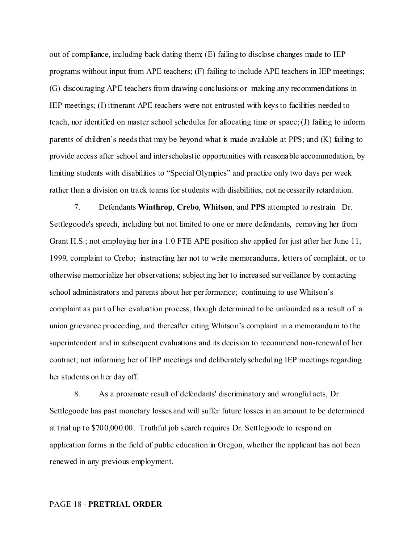out of compliance, including back dating them; (E) failing to disclose changes made to IEP programs without input from APE teachers; (F) failing to include APE teachers in IEP meetings; (G) discouraging APE teachers from drawing conclusions or making any recommendations in IEP meetings; (I) itinerant APE teachers were not entrusted with keys to facilities needed to teach, nor identified on master school schedules for allocating time or space; (J) failing to inform parents of children's needs that may be beyond what is made available at PPS; and (K) failing to provide access after school and interscholastic opportunities with reasonable accommodation, by limiting students with disabilities to "Special Olympics" and practice only two days per week rather than a division on track teams for students with disabilities, not necessarily retardation.

7. Defendants **Winthrop**, **Crebo**, **Whitson**, and **PPS** attempted to restrain Dr. Settlegoode's speech, including but not limited to one or more defendants, removing her from Grant H.S.; not employing her in a 1.0 FTE APE position she applied for just after her June 11, 1999, complaint to Crebo; instructing her not to write memorandums, letters of complaint, or to otherwise memorialize her observations; subjecting her to increased surveillance by contacting school administrators and parents about her performance; continuing to use Whitson's complaint as part of her evaluation process, though determined to be unfounded as a result of a union grievance proceeding, and thereafter citing Whitson's complaint in a memorandum to the superintendent and in subsequent evaluations and its decision to recommend non-renewal of her contract; not informing her of IEP meetings and deliberately scheduling IEP meetings regarding her students on her day off.

8. As a proximate result of defendants' discriminatory and wrongful acts, Dr. Settlegoode has past monetary losses and will suffer future losses in an amount to be determined at trial up to \$700,000.00. Truthful job search requires Dr. Settlegoode to respond on application forms in the field of public education in Oregon, whether the applicant has not been renewed in any previous employment.

#### PAGE 18 - **PRETRIAL ORDER**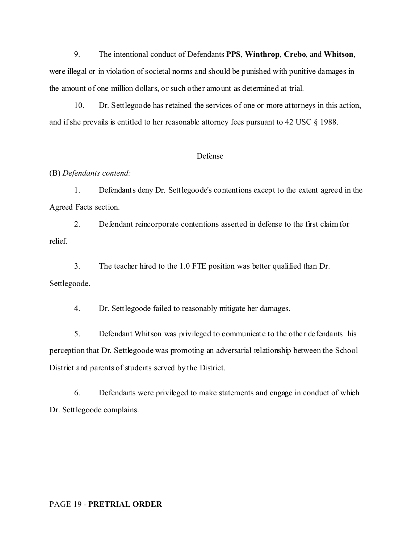9. The intentional conduct of Defendants **PPS**, **Winthrop**, **Crebo**, and **Whitson**, were illegal or in violation of societal norms and should be punished with punitive damages in the amount of one million dollars, or such other amount as determined at trial.

10. Dr. Settlegoode has retained the services of one or more attorneys in this action, and if she prevails is entitled to her reasonable attorney fees pursuant to 42 USC § 1988.

## Defense

### (B) *Defendants contend:*

1. Defendants deny Dr. Settlegoode's contentions except to the extent agreed in the Agreed Facts section.

2. Defendant reincorporate contentions asserted in defense to the first claim for relief.

3. The teacher hired to the 1.0 FTE position was better qualified than Dr. Settlegoode.

4. Dr. Settlegoode failed to reasonably mitigate her damages.

5. Defendant Whitson was privileged to communicate to the other defendants his perception that Dr. Settlegoode was promoting an adversarial relationship between the School District and parents of students served by the District.

6. Defendants were privileged to make statements and engage in conduct of which Dr. Settlegoode complains.

#### PAGE 19 - **PRETRIAL ORDER**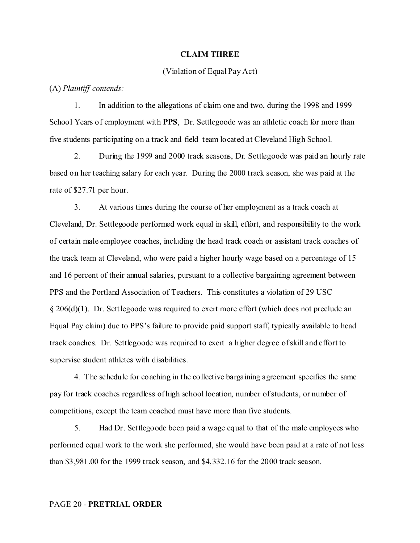#### **CLAIM THREE**

#### (Violation of Equal Pay Act)

(A) *Plaintiff contends:*

1. In addition to the allegations of claim one and two, during the 1998 and 1999 School Years of employment with **PPS**, Dr. Settlegoode was an athletic coach for more than five students participating on a track and field team located at Cleveland High School.

2. During the 1999 and 2000 track seasons, Dr. Settlegoode was paid an hourly rate based on her teaching salary for each year. During the 2000 track season, she was paid at the rate of \$27.71 per hour.

3. At various times during the course of her employment as a track coach at Cleveland, Dr. Settlegoode performed work equal in skill, effort, and responsibility to the work of certain male employee coaches, including the head track coach or assistant track coaches of the track team at Cleveland, who were paid a higher hourly wage based on a percentage of 15 and 16 percent of their annual salaries, pursuant to a collective bargaining agreement between PPS and the Portland Association of Teachers. This constitutes a violation of 29 USC § 206(d)(1). Dr. Settlegoode was required to exert more effort (which does not preclude an Equal Pay claim) due to PPS's failure to provide paid support staff, typically available to head track coaches. Dr. Settlegoode was required to exert a higher degree of skill and effort to supervise student athletes with disabilities.

4. The schedule for coaching in the collective bargaining agreement specifies the same pay for track coaches regardless of high school location, number of students, or number of competitions, except the team coached must have more than five students.

5. Had Dr. Settlegoode been paid a wage equal to that of the male employees who performed equal work to the work she performed, she would have been paid at a rate of not less than \$3,981.00 for the 1999 track season, and \$4,332.16 for the 2000 track season.

#### PAGE 20 - **PRETRIAL ORDER**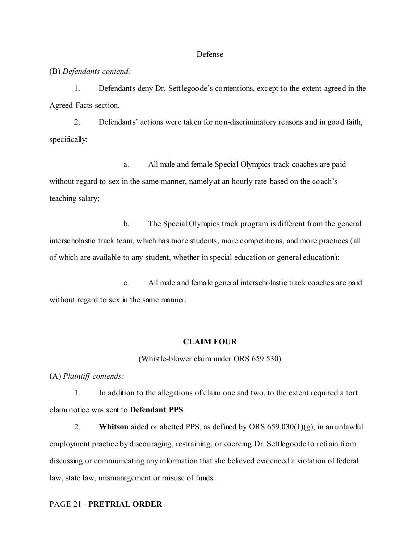#### Defense

(B) *Defendants contend:*

1. Defendants deny Dr. Settlegoode's contentions, except to the extent agreed in the Agreed Facts section.

2. Defendants' actions were taken for non-discriminatory reasons and in good faith, specifically:

a. All male and female Special Olympics track coaches are paid without regard to sex in the same manner, namely at an hourly rate based on the coach's teaching salary;

b. The Special Olympics track program is different from the general interscholastic track team, which has more students, more competitions, and more practices (all of which are available to any student, whether in special education or general education);

c. All male and female general interscholastic track coaches are paid without regard to sex in the same manner.

#### **CLAIM FOUR**

(Whistle-blower claim under ORS 659.530)

(A) *Plaintiff contends:*

1. In addition to the allegations of claim one and two, to the extent required a tort claim notice was sent to **Defendant PPS**.

2. **Whitson** aided or abetted PPS, as defined by ORS 659.030(1)(g), in an unlawful employment practice by discouraging, restraining, or coercing Dr. Settlegoode to refrain from discussing or communicating any information that she believed evidenced a violation of federal law, state law, mismanagement or misuse of funds.

#### PAGE 21 - **PRETRIAL ORDER**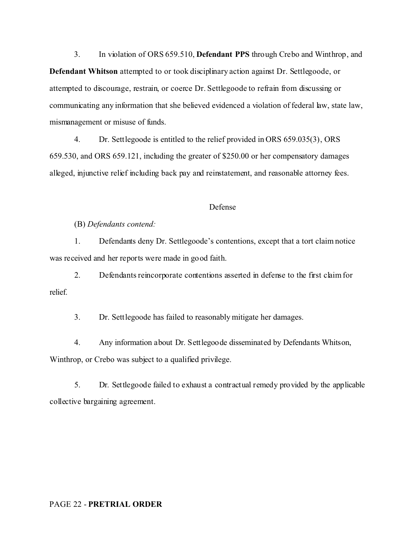3. In violation of ORS 659.510, **Defendant PPS** through Crebo and Winthrop, and **Defendant Whitson** attempted to or took disciplinary action against Dr. Settlegoode, or attempted to discourage, restrain, or coerce Dr. Settlegoode to refrain from discussing or communicating any information that she believed evidenced a violation of federal law, state law, mismanagement or misuse of funds.

4. Dr. Settlegoode is entitled to the relief provided in ORS 659.035(3), ORS 659.530, and ORS 659.121, including the greater of \$250.00 or her compensatory damages alleged, injunctive relief including back pay and reinstatement, and reasonable attorney fees.

#### Defense

### (B) *Defendants contend:*

1. Defendants deny Dr. Settlegoode's contentions, except that a tort claim notice was received and her reports were made in good faith.

2. Defendants reincorporate contentions asserted in defense to the first claim for relief.

3. Dr. Settlegoode has failed to reasonably mitigate her damages.

4. Any information about Dr. Settlegoode disseminated by Defendants Whitson, Winthrop, or Crebo was subject to a qualified privilege.

5. Dr. Settlegoode failed to exhaust a contractual remedy provided by the applicable collective bargaining agreement.

#### PAGE 22 - **PRETRIAL ORDER**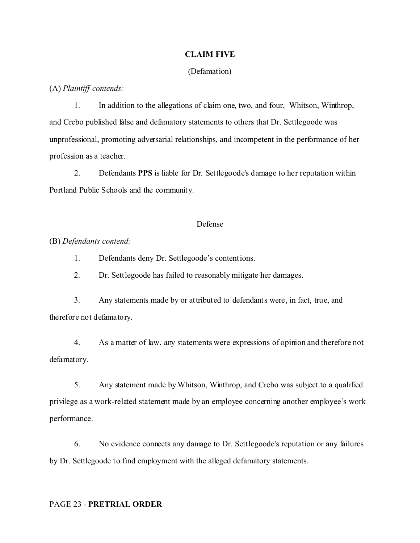#### **CLAIM FIVE**

#### (Defamation)

(A) *Plaintiff contends:*

1. In addition to the allegations of claim one, two, and four, Whitson, Winthrop, and Crebo published false and defamatory statements to others that Dr. Settlegoode was unprofessional, promoting adversarial relationships, and incompetent in the performance of her profession as a teacher.

2. Defendants **PPS** is liable for Dr. Settlegoode's damage to her reputation within Portland Public Schools and the community.

## Defense

(B) *Defendants contend:*

1. Defendants deny Dr. Settlegoode's contentions.

2. Dr. Settlegoode has failed to reasonably mitigate her damages.

3. Any statements made by or attributed to defendants were, in fact, true, and therefore not defamatory.

4. As a matter of law, any statements were expressions of opinion and therefore not defamatory.

5. Any statement made by Whitson, Winthrop, and Crebo was subject to a qualified privilege as a work-related statement made by an employee concerning another employee's work performance.

6. No evidence connects any damage to Dr. Settlegoode's reputation or any failures by Dr. Settlegoode to find employment with the alleged defamatory statements.

#### PAGE 23 - **PRETRIAL ORDER**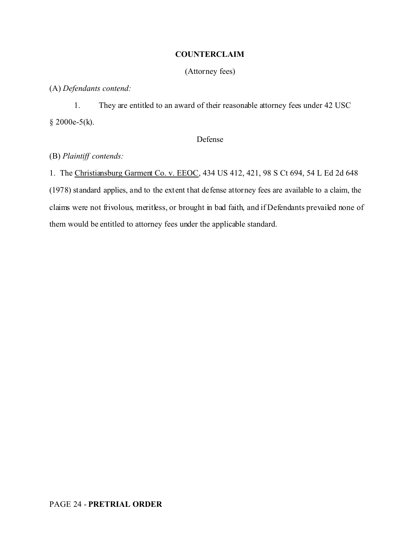## **COUNTERCLAIM**

(Attorney fees)

(A) *Defendants contend:*

1. They are entitled to an award of their reasonable attorney fees under 42 USC § 2000e-5(k).

## Defense

# (B) *Plaintiff contends:*

1. The Christiansburg Garment Co. v. EEOC, 434 US 412, 421, 98 S Ct 694, 54 L Ed 2d 648 (1978) standard applies, and to the extent that defense attorney fees are available to a claim, the claims were not frivolous, meritless, or brought in bad faith, and if Defendants prevailed none of them would be entitled to attorney fees under the applicable standard.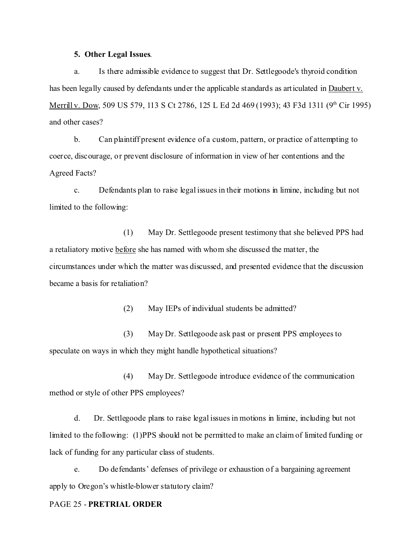#### **5. Other Legal Issues**.

a. Is there admissible evidence to suggest that Dr. Settlegoode's thyroid condition has been legally caused by defendants under the applicable standards as articulated in Daubert v. Merrill v. Dow, 509 US 579, 113 S Ct 2786, 125 L Ed 2d 469 (1993); 43 F3d 1311 (9<sup>th</sup> Cir 1995) and other cases?

b. Can plaintiff present evidence of a custom, pattern, or practice of attempting to coerce, discourage, or prevent disclosure of information in view of her contentions and the Agreed Facts?

c. Defendants plan to raise legal issues in their motions in limine, including but not limited to the following:

(1) May Dr. Settlegoode present testimony that she believed PPS had a retaliatory motive before she has named with whom she discussed the matter, the circumstances under which the matter was discussed, and presented evidence that the discussion became a basis for retaliation?

(2) May IEPs of individual students be admitted?

(3) May Dr. Settlegoode ask past or present PPS employees to speculate on ways in which they might handle hypothetical situations?

(4) May Dr. Settlegoode introduce evidence of the communication method or style of other PPS employees?

d. Dr. Settlegoode plans to raise legal issues in motions in limine, including but not limited to the following: (1)PPS should not be permitted to make an claim of limited funding or lack of funding for any particular class of students.

e. Do defendants' defenses of privilege or exhaustion of a bargaining agreement apply to Oregon's whistle-blower statutory claim?

#### PAGE 25 - **PRETRIAL ORDER**